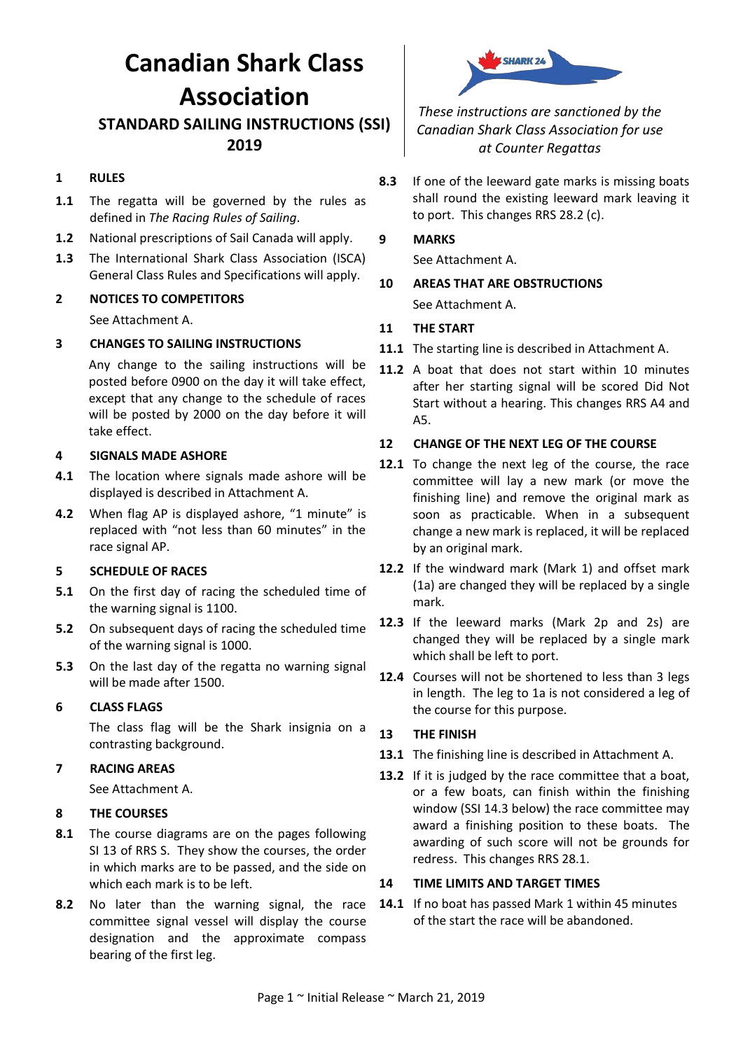# **Canadian Shark Class Association**

# **STANDARD SAILING INSTRUCTIONS (SSI) 2019**

# **1 RULES**

- 1.1 The regatta will be governed by the rules as defined in *The Racing Rules of Sailing*.
- **1.2** National prescriptions of Sail Canada will apply.
- **1.3** The International Shark Class Association (ISCA) General Class Rules and Specifications will apply.

# **2 NOTICES TO COMPETITORS**

See Attachment A.

# **3 CHANGES TO SAILING INSTRUCTIONS**

Any change to the sailing instructions will be posted before 0900 on the day it will take effect, except that any change to the schedule of races will be posted by 2000 on the day before it will take effect.

#### **4 SIGNALS MADE ASHORE**

- **4.1** The location where signals made ashore will be displayed is described in Attachment A.
- **4.2** When flag AP is displayed ashore, "1 minute" is replaced with "not less than 60 minutes" in the race signal AP.

# **5 SCHEDULE OF RACES**

- **5.1** On the first day of racing the scheduled time of the warning signal is 1100.
- **5.2** On subsequent days of racing the scheduled time of the warning signal is 1000.
- **5.3** On the last day of the regatta no warning signal will be made after 1500.

# **6 CLASS FLAGS**

The class flag will be the Shark insignia on a contrasting background.

# **7 RACING AREAS**

See Attachment A.

# **8 THE COURSES**

- **8.1** The course diagrams are on the pages following SI 13 of RRS S. They show the courses, the order in which marks are to be passed, and the side on which each mark is to be left.
- **8.2** No later than the warning signal, the race committee signal vessel will display the course designation and the approximate compass bearing of the first leg.



*These instructions are sanctioned by the Canadian Shark Class Association for use at Counter Regattas*

**8.3** If one of the leeward gate marks is missing boats shall round the existing leeward mark leaving it to port. This changes RRS 28.2 (c).

#### **9 MARKS**

See Attachment A.

**10 AREAS THAT ARE OBSTRUCTIONS** See Attachment A.

#### **11 THE START**

- **11.1** The starting line is described in Attachment A.
- **11.2** A boat that does not start within 10 minutes after her starting signal will be scored Did Not Start without a hearing. This changes RRS A4 and A5.

#### **12 CHANGE OF THE NEXT LEG OF THE COURSE**

- **12.1** To change the next leg of the course, the race committee will lay a new mark (or move the finishing line) and remove the original mark as soon as practicable. When in a subsequent change a new mark is replaced, it will be replaced by an original mark.
- **12.2** If the windward mark (Mark 1) and offset mark (1a) are changed they will be replaced by a single mark.
- **12.3** If the leeward marks (Mark 2p and 2s) are changed they will be replaced by a single mark which shall be left to port.
- **12.4** Courses will not be shortened to less than 3 legs in length. The leg to 1a is not considered a leg of the course for this purpose.

# **13 THE FINISH**

- **13.1** The finishing line is described in Attachment A.
- **13.2** If it is judged by the race committee that a boat, or a few boats, can finish within the finishing window (SSI [14.3](#page-1-0) below) the race committee may award a finishing position to these boats. The awarding of such score will not be grounds for redress. This changes RRS 28.1.

#### **14 TIME LIMITS AND TARGET TIMES**

**14.1** If no boat has passed Mark 1 within 45 minutes of the start the race will be abandoned.